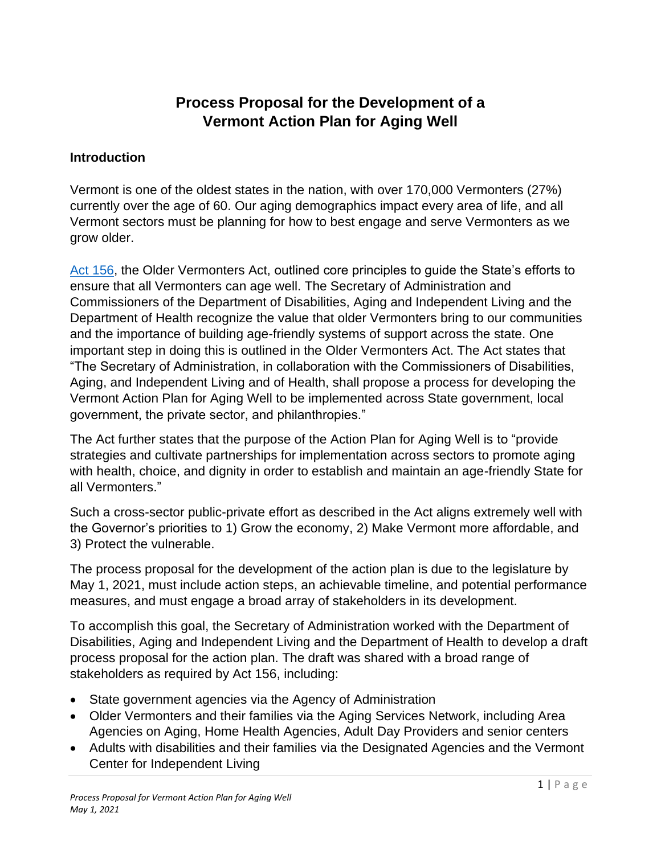# **Process Proposal for the Development of a Vermont Action Plan for Aging Well**

#### **Introduction**

Vermont is one of the oldest states in the nation, with over 170,000 Vermonters (27%) currently over the age of 60. Our aging demographics impact every area of life, and all Vermont sectors must be planning for how to best engage and serve Vermonters as we grow older.

[Act 156,](https://legislature.vermont.gov/Documents/2020/Docs/ACTS/ACT156/ACT156%20As%20Enacted.pdf) the Older Vermonters Act, outlined core principles to guide the State's efforts to ensure that all Vermonters can age well. The Secretary of Administration and Commissioners of the Department of Disabilities, Aging and Independent Living and the Department of Health recognize the value that older Vermonters bring to our communities and the importance of building age-friendly systems of support across the state. One important step in doing this is outlined in the Older Vermonters Act. The Act states that "The Secretary of Administration, in collaboration with the Commissioners of Disabilities, Aging, and Independent Living and of Health, shall propose a process for developing the Vermont Action Plan for Aging Well to be implemented across State government, local government, the private sector, and philanthropies."

The Act further states that the purpose of the Action Plan for Aging Well is to "provide strategies and cultivate partnerships for implementation across sectors to promote aging with health, choice, and dignity in order to establish and maintain an age-friendly State for all Vermonters."

Such a cross-sector public-private effort as described in the Act aligns extremely well with the Governor's priorities to 1) Grow the economy, 2) Make Vermont more affordable, and 3) Protect the vulnerable.

The process proposal for the development of the action plan is due to the legislature by May 1, 2021, must include action steps, an achievable timeline, and potential performance measures, and must engage a broad array of stakeholders in its development.

To accomplish this goal, the Secretary of Administration worked with the Department of Disabilities, Aging and Independent Living and the Department of Health to develop a draft process proposal for the action plan. The draft was shared with a broad range of stakeholders as required by Act 156, including:

- State government agencies via the Agency of Administration
- Older Vermonters and their families via the Aging Services Network, including Area Agencies on Aging, Home Health Agencies, Adult Day Providers and senior centers
- Adults with disabilities and their families via the Designated Agencies and the Vermont Center for Independent Living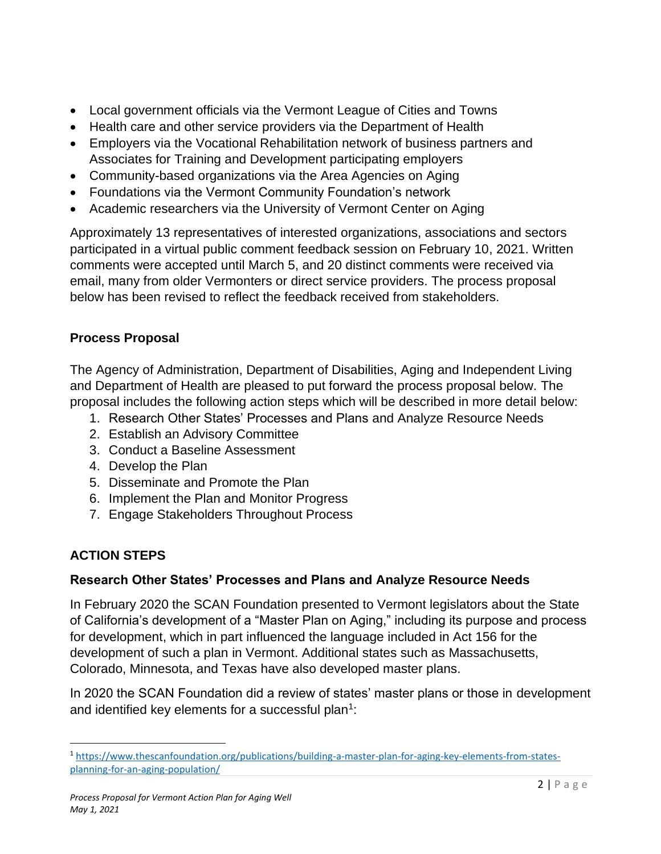- Local government officials via the Vermont League of Cities and Towns
- Health care and other service providers via the Department of Health
- Employers via the Vocational Rehabilitation network of business partners and Associates for Training and Development participating employers
- Community-based organizations via the Area Agencies on Aging
- Foundations via the Vermont Community Foundation's network
- Academic researchers via the University of Vermont Center on Aging

Approximately 13 representatives of interested organizations, associations and sectors participated in a virtual public comment feedback session on February 10, 2021. Written comments were accepted until March 5, and 20 distinct comments were received via email, many from older Vermonters or direct service providers. The process proposal below has been revised to reflect the feedback received from stakeholders.

## **Process Proposal**

The Agency of Administration, Department of Disabilities, Aging and Independent Living and Department of Health are pleased to put forward the process proposal below. The proposal includes the following action steps which will be described in more detail below:

- 1. Research Other States' Processes and Plans and Analyze Resource Needs
- 2. Establish an Advisory Committee
- 3. Conduct a Baseline Assessment
- 4. Develop the Plan
- 5. Disseminate and Promote the Plan
- 6. Implement the Plan and Monitor Progress
- 7. Engage Stakeholders Throughout Process

## **ACTION STEPS**

#### **Research Other States' Processes and Plans and Analyze Resource Needs**

In February 2020 the SCAN Foundation presented to Vermont legislators about the State of California's development of a "Master Plan on Aging," including its purpose and process for development, which in part influenced the language included in Act 156 for the development of such a plan in Vermont. Additional states such as Massachusetts, Colorado, Minnesota, and Texas have also developed master plans.

In 2020 the SCAN Foundation did a review of states' master plans or those in development and identified key elements for a successful plan<sup>1</sup>:

<sup>1</sup> [https://www.thescanfoundation.org/publications/building-a-master-plan-for-aging-key-elements-from-states](https://www.thescanfoundation.org/publications/building-a-master-plan-for-aging-key-elements-from-states-planning-for-an-aging-population/)[planning-for-an-aging-population/](https://www.thescanfoundation.org/publications/building-a-master-plan-for-aging-key-elements-from-states-planning-for-an-aging-population/)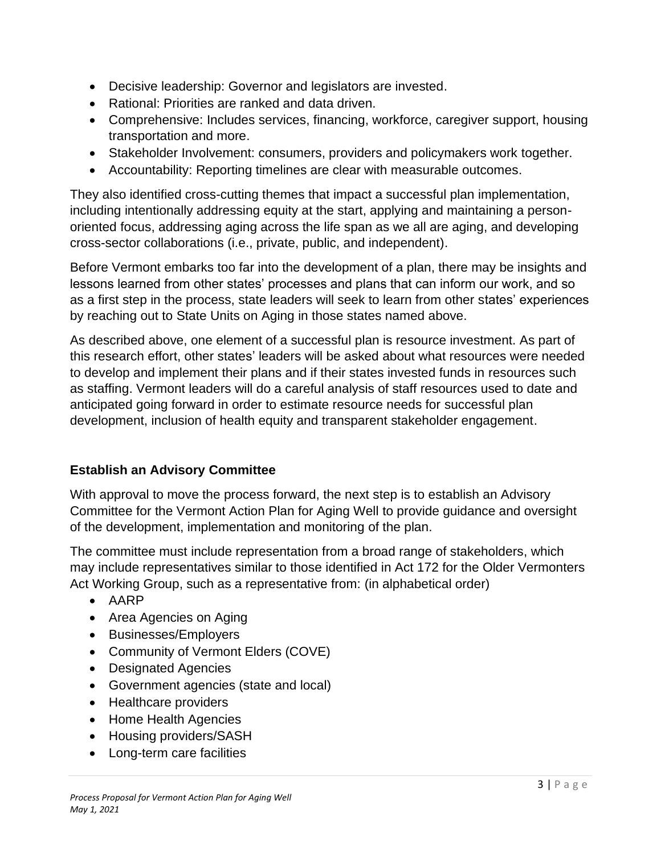- Decisive leadership: Governor and legislators are invested.
- Rational: Priorities are ranked and data driven.
- Comprehensive: Includes services, financing, workforce, caregiver support, housing transportation and more.
- Stakeholder Involvement: consumers, providers and policymakers work together.
- Accountability: Reporting timelines are clear with measurable outcomes.

They also identified cross-cutting themes that impact a successful plan implementation, including intentionally addressing equity at the start, applying and maintaining a personoriented focus, addressing aging across the life span as we all are aging, and developing cross-sector collaborations (i.e., private, public, and independent).

Before Vermont embarks too far into the development of a plan, there may be insights and lessons learned from other states' processes and plans that can inform our work, and so as a first step in the process, state leaders will seek to learn from other states' experiences by reaching out to State Units on Aging in those states named above.

As described above, one element of a successful plan is resource investment. As part of this research effort, other states' leaders will be asked about what resources were needed to develop and implement their plans and if their states invested funds in resources such as staffing. Vermont leaders will do a careful analysis of staff resources used to date and anticipated going forward in order to estimate resource needs for successful plan development, inclusion of health equity and transparent stakeholder engagement.

#### **Establish an Advisory Committee**

With approval to move the process forward, the next step is to establish an Advisory Committee for the Vermont Action Plan for Aging Well to provide guidance and oversight of the development, implementation and monitoring of the plan.

The committee must include representation from a broad range of stakeholders, which may include representatives similar to those identified in Act 172 for the Older Vermonters Act Working Group, such as a representative from: (in alphabetical order)

- AARP
- Area Agencies on Aging
- Businesses/Employers
- Community of Vermont Elders (COVE)
- Designated Agencies
- Government agencies (state and local)
- Healthcare providers
- Home Health Agencies
- Housing providers/SASH
- Long-term care facilities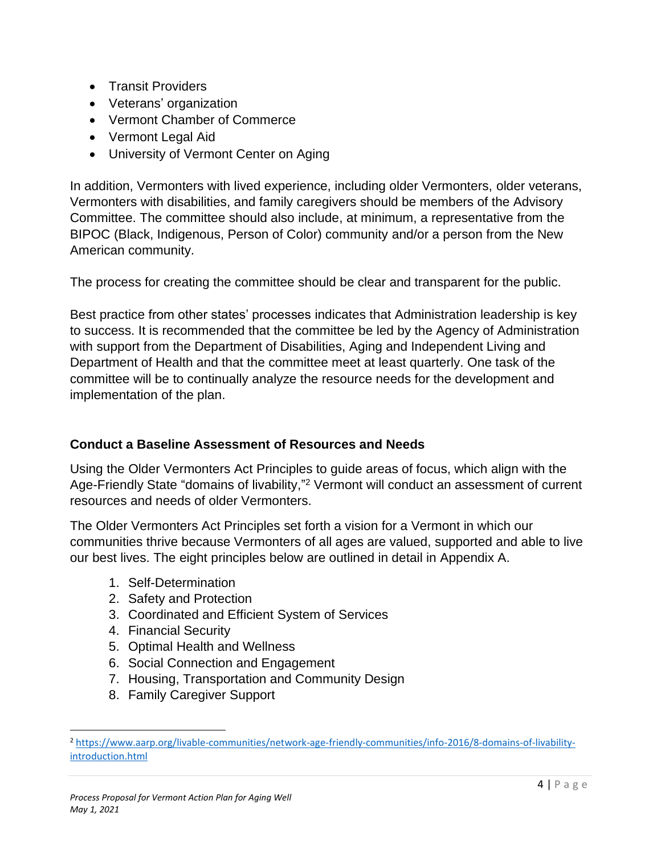- Transit Providers
- Veterans' organization
- Vermont Chamber of Commerce
- Vermont Legal Aid
- University of Vermont Center on Aging

In addition, Vermonters with lived experience, including older Vermonters, older veterans, Vermonters with disabilities, and family caregivers should be members of the Advisory Committee. The committee should also include, at minimum, a representative from the BIPOC (Black, Indigenous, Person of Color) community and/or a person from the New American community.

The process for creating the committee should be clear and transparent for the public.

Best practice from other states' processes indicates that Administration leadership is key to success. It is recommended that the committee be led by the Agency of Administration with support from the Department of Disabilities, Aging and Independent Living and Department of Health and that the committee meet at least quarterly. One task of the committee will be to continually analyze the resource needs for the development and implementation of the plan.

#### **Conduct a Baseline Assessment of Resources and Needs**

Using the Older Vermonters Act Principles to guide areas of focus, which align with the Age-Friendly State "domains of livability,"<sup>2</sup> Vermont will conduct an assessment of current resources and needs of older Vermonters.

The Older Vermonters Act Principles set forth a vision for a Vermont in which our communities thrive because Vermonters of all ages are valued, supported and able to live our best lives. The eight principles below are outlined in detail in Appendix A.

- 1. Self-Determination
- 2. Safety and Protection
- 3. Coordinated and Efficient System of Services
- 4. Financial Security
- 5. Optimal Health and Wellness
- 6. Social Connection and Engagement
- 7. Housing, Transportation and Community Design
- 8. Family Caregiver Support

<sup>2</sup> [https://www.aarp.org/livable-communities/network-age-friendly-communities/info-2016/8-domains-of-livability](https://www.aarp.org/livable-communities/network-age-friendly-communities/info-2016/8-domains-of-livability-introduction.html)[introduction.html](https://www.aarp.org/livable-communities/network-age-friendly-communities/info-2016/8-domains-of-livability-introduction.html)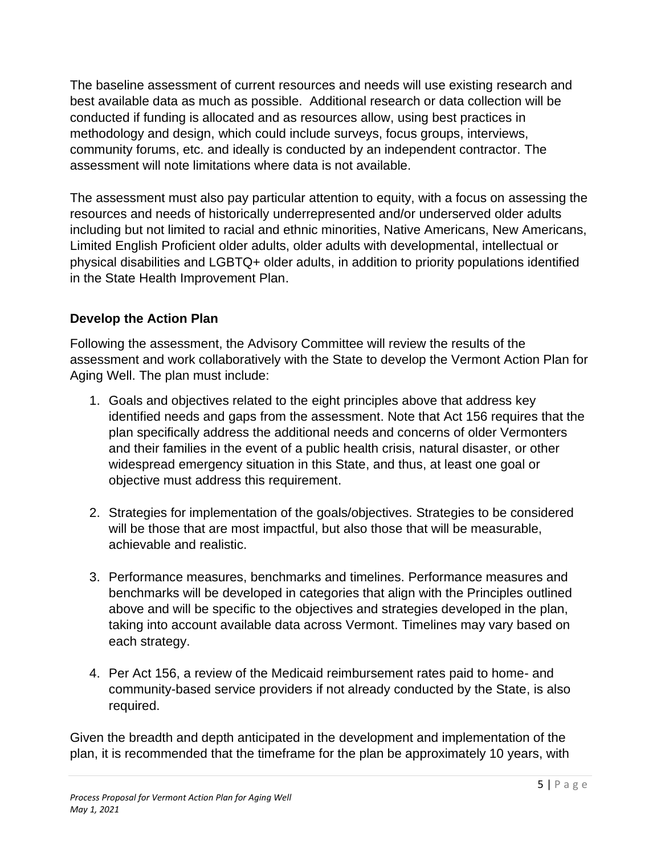The baseline assessment of current resources and needs will use existing research and best available data as much as possible. Additional research or data collection will be conducted if funding is allocated and as resources allow, using best practices in methodology and design, which could include surveys, focus groups, interviews, community forums, etc. and ideally is conducted by an independent contractor. The assessment will note limitations where data is not available.

The assessment must also pay particular attention to equity, with a focus on assessing the resources and needs of historically underrepresented and/or underserved older adults including but not limited to racial and ethnic minorities, Native Americans, New Americans, Limited English Proficient older adults, older adults with developmental, intellectual or physical disabilities and LGBTQ+ older adults, in addition to priority populations identified in the State Health Improvement Plan.

#### **Develop the Action Plan**

Following the assessment, the Advisory Committee will review the results of the assessment and work collaboratively with the State to develop the Vermont Action Plan for Aging Well. The plan must include:

- 1. Goals and objectives related to the eight principles above that address key identified needs and gaps from the assessment. Note that Act 156 requires that the plan specifically address the additional needs and concerns of older Vermonters and their families in the event of a public health crisis, natural disaster, or other widespread emergency situation in this State, and thus, at least one goal or objective must address this requirement.
- 2. Strategies for implementation of the goals/objectives. Strategies to be considered will be those that are most impactful, but also those that will be measurable, achievable and realistic.
- 3. Performance measures, benchmarks and timelines. Performance measures and benchmarks will be developed in categories that align with the Principles outlined above and will be specific to the objectives and strategies developed in the plan, taking into account available data across Vermont. Timelines may vary based on each strategy.
- 4. Per Act 156, a review of the Medicaid reimbursement rates paid to home- and community-based service providers if not already conducted by the State, is also required.

Given the breadth and depth anticipated in the development and implementation of the plan, it is recommended that the timeframe for the plan be approximately 10 years, with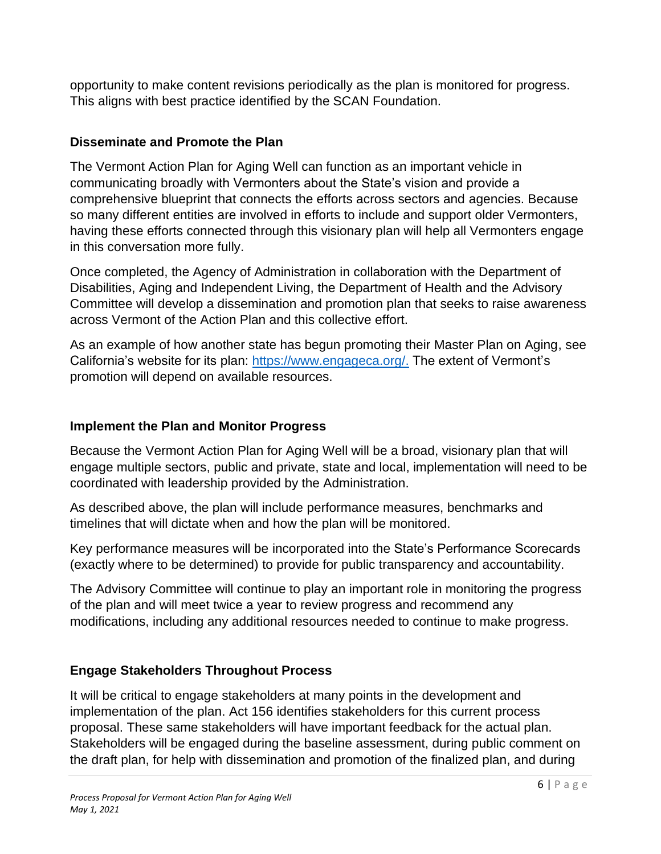opportunity to make content revisions periodically as the plan is monitored for progress. This aligns with best practice identified by the SCAN Foundation.

#### **Disseminate and Promote the Plan**

The Vermont Action Plan for Aging Well can function as an important vehicle in communicating broadly with Vermonters about the State's vision and provide a comprehensive blueprint that connects the efforts across sectors and agencies. Because so many different entities are involved in efforts to include and support older Vermonters, having these efforts connected through this visionary plan will help all Vermonters engage in this conversation more fully.

Once completed, the Agency of Administration in collaboration with the Department of Disabilities, Aging and Independent Living, the Department of Health and the Advisory Committee will develop a dissemination and promotion plan that seeks to raise awareness across Vermont of the Action Plan and this collective effort.

As an example of how another state has begun promoting their Master Plan on Aging, see California's website for its plan: [https://www.engageca.org/.](https://www.engageca.org/) The extent of Vermont's promotion will depend on available resources.

#### **Implement the Plan and Monitor Progress**

Because the Vermont Action Plan for Aging Well will be a broad, visionary plan that will engage multiple sectors, public and private, state and local, implementation will need to be coordinated with leadership provided by the Administration.

As described above, the plan will include performance measures, benchmarks and timelines that will dictate when and how the plan will be monitored.

Key performance measures will be incorporated into the State's Performance Scorecards (exactly where to be determined) to provide for public transparency and accountability.

The Advisory Committee will continue to play an important role in monitoring the progress of the plan and will meet twice a year to review progress and recommend any modifications, including any additional resources needed to continue to make progress.

#### **Engage Stakeholders Throughout Process**

It will be critical to engage stakeholders at many points in the development and implementation of the plan. Act 156 identifies stakeholders for this current process proposal. These same stakeholders will have important feedback for the actual plan. Stakeholders will be engaged during the baseline assessment, during public comment on the draft plan, for help with dissemination and promotion of the finalized plan, and during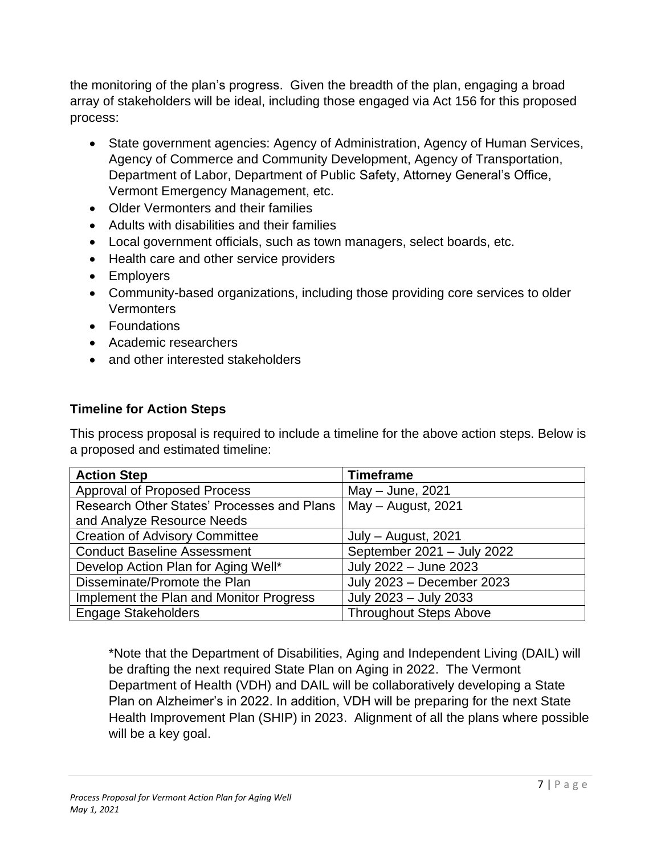the monitoring of the plan's progress. Given the breadth of the plan, engaging a broad array of stakeholders will be ideal, including those engaged via Act 156 for this proposed process:

- State government agencies: Agency of Administration, Agency of Human Services, Agency of Commerce and Community Development, Agency of Transportation, Department of Labor, Department of Public Safety, Attorney General's Office, Vermont Emergency Management, etc.
- Older Vermonters and their families
- Adults with disabilities and their families
- Local government officials, such as town managers, select boards, etc.
- Health care and other service providers
- Employers
- Community-based organizations, including those providing core services to older **Vermonters**
- Foundations
- Academic researchers
- and other interested stakeholders

#### **Timeline for Action Steps**

This process proposal is required to include a timeline for the above action steps. Below is a proposed and estimated timeline:

| <b>Action Step</b>                         | <b>Timeframe</b>              |  |
|--------------------------------------------|-------------------------------|--|
| <b>Approval of Proposed Process</b>        | May - June, 2021              |  |
| Research Other States' Processes and Plans | May - August, 2021            |  |
| and Analyze Resource Needs                 |                               |  |
| <b>Creation of Advisory Committee</b>      | July - August, 2021           |  |
| <b>Conduct Baseline Assessment</b>         | September 2021 - July 2022    |  |
| Develop Action Plan for Aging Well*        | July 2022 - June 2023         |  |
| Disseminate/Promote the Plan               | July 2023 - December 2023     |  |
| Implement the Plan and Monitor Progress    | July 2023 - July 2033         |  |
| <b>Engage Stakeholders</b>                 | <b>Throughout Steps Above</b> |  |

\*Note that the Department of Disabilities, Aging and Independent Living (DAIL) will be drafting the next required State Plan on Aging in 2022. The Vermont Department of Health (VDH) and DAIL will be collaboratively developing a State Plan on Alzheimer's in 2022. In addition, VDH will be preparing for the next State Health Improvement Plan (SHIP) in 2023. Alignment of all the plans where possible will be a key goal.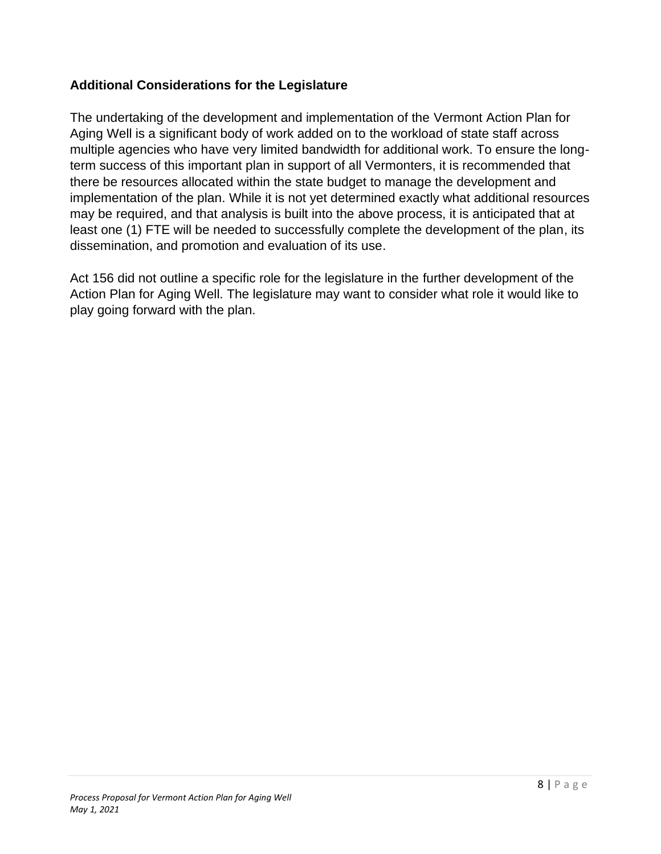#### **Additional Considerations for the Legislature**

The undertaking of the development and implementation of the Vermont Action Plan for Aging Well is a significant body of work added on to the workload of state staff across multiple agencies who have very limited bandwidth for additional work. To ensure the longterm success of this important plan in support of all Vermonters, it is recommended that there be resources allocated within the state budget to manage the development and implementation of the plan. While it is not yet determined exactly what additional resources may be required, and that analysis is built into the above process, it is anticipated that at least one (1) FTE will be needed to successfully complete the development of the plan, its dissemination, and promotion and evaluation of its use.

Act 156 did not outline a specific role for the legislature in the further development of the Action Plan for Aging Well. The legislature may want to consider what role it would like to play going forward with the plan.